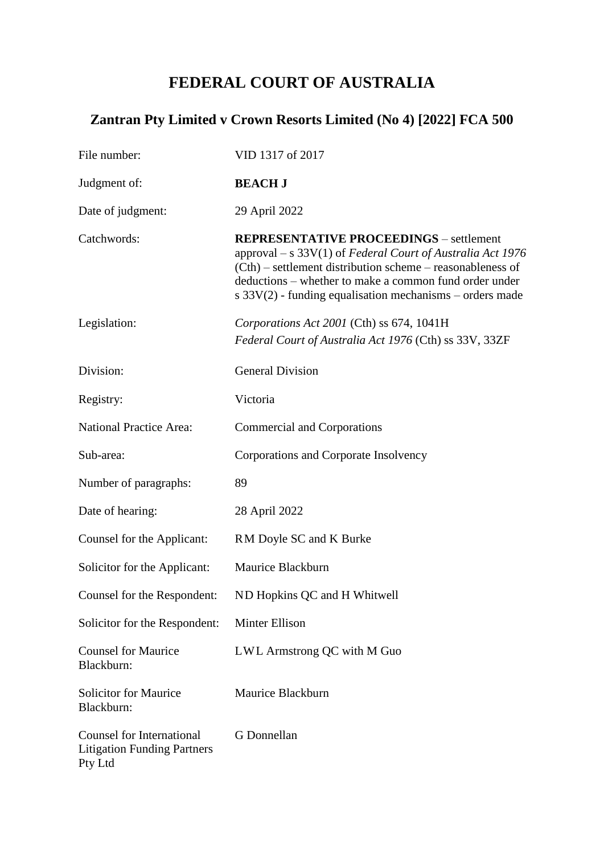# **FEDERAL COURT OF AUSTRALIA**

# **Zantran Pty Limited v Crown Resorts Limited (No 4) [2022] FCA 500**

| File number:                                                                      | VID 1317 of 2017                                                                                                                                                                                                                                                                                     |
|-----------------------------------------------------------------------------------|------------------------------------------------------------------------------------------------------------------------------------------------------------------------------------------------------------------------------------------------------------------------------------------------------|
| Judgment of:                                                                      | <b>BEACH J</b>                                                                                                                                                                                                                                                                                       |
| Date of judgment:                                                                 | 29 April 2022                                                                                                                                                                                                                                                                                        |
| Catchwords:                                                                       | <b>REPRESENTATIVE PROCEEDINGS</b> – settlement<br>approval – s $33V(1)$ of Federal Court of Australia Act 1976<br>(Cth) – settlement distribution scheme – reasonableness of<br>deductions – whether to make a common fund order under<br>s $33V(2)$ - funding equalisation mechanisms – orders made |
| Legislation:                                                                      | Corporations Act 2001 (Cth) ss 674, 1041H<br>Federal Court of Australia Act 1976 (Cth) ss 33V, 33ZF                                                                                                                                                                                                  |
| Division:                                                                         | <b>General Division</b>                                                                                                                                                                                                                                                                              |
| Registry:                                                                         | Victoria                                                                                                                                                                                                                                                                                             |
| <b>National Practice Area:</b>                                                    | <b>Commercial and Corporations</b>                                                                                                                                                                                                                                                                   |
| Sub-area:                                                                         | Corporations and Corporate Insolvency                                                                                                                                                                                                                                                                |
| Number of paragraphs:                                                             | 89                                                                                                                                                                                                                                                                                                   |
| Date of hearing:                                                                  | 28 April 2022                                                                                                                                                                                                                                                                                        |
| Counsel for the Applicant:                                                        | RM Doyle SC and K Burke                                                                                                                                                                                                                                                                              |
| Solicitor for the Applicant:                                                      | Maurice Blackburn                                                                                                                                                                                                                                                                                    |
| Counsel for the Respondent:                                                       | ND Hopkins QC and H Whitwell                                                                                                                                                                                                                                                                         |
| Solicitor for the Respondent:                                                     | <b>Minter Ellison</b>                                                                                                                                                                                                                                                                                |
| <b>Counsel for Maurice</b><br>Blackburn:                                          | LWL Armstrong QC with M Guo                                                                                                                                                                                                                                                                          |
| <b>Solicitor for Maurice</b><br>Blackburn:                                        | Maurice Blackburn                                                                                                                                                                                                                                                                                    |
| <b>Counsel for International</b><br><b>Litigation Funding Partners</b><br>Pty Ltd | G Donnellan                                                                                                                                                                                                                                                                                          |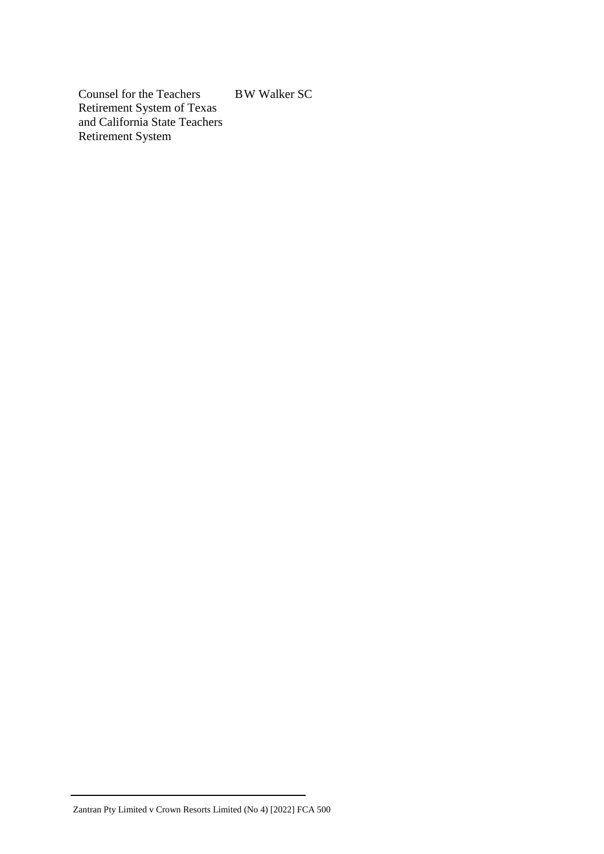Counsel for the Teachers Retirement System of Texas and California State Teachers Retirement System B W Walker SC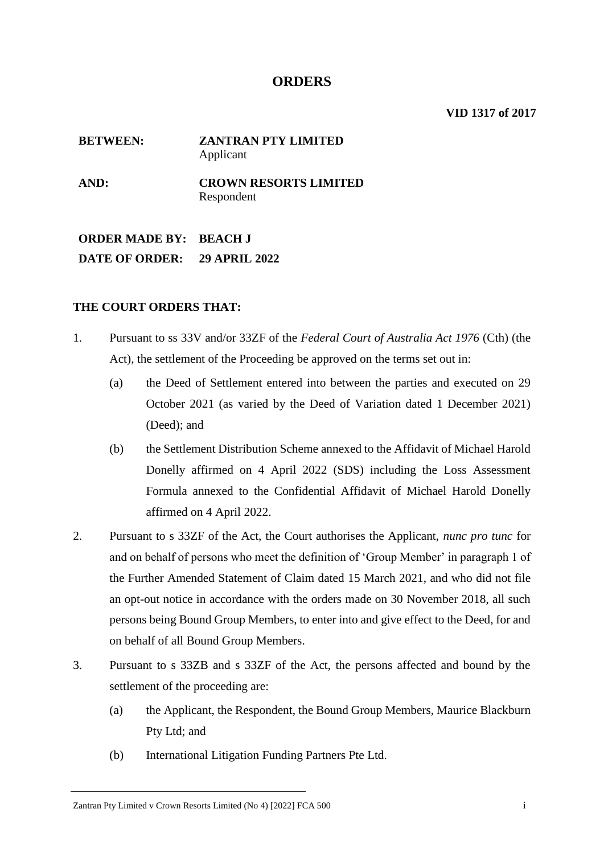## **ORDERS**

**VID 1317 of 2017**

## **BETWEEN: ZANTRAN PTY LIMITED** Applicant **AND: CROWN RESORTS LIMITED** Respondent

**ORDER MADE BY: BEACH J DATE OF ORDER: 29 APRIL 2022**

## **THE COURT ORDERS THAT:**

- 1. Pursuant to ss 33V and/or 33ZF of the *Federal Court of Australia Act 1976* (Cth) (the Act), the settlement of the Proceeding be approved on the terms set out in:
	- (a) the Deed of Settlement entered into between the parties and executed on 29 October 2021 (as varied by the Deed of Variation dated 1 December 2021) (Deed); and
	- (b) the Settlement Distribution Scheme annexed to the Affidavit of Michael Harold Donelly affirmed on 4 April 2022 (SDS) including the Loss Assessment Formula annexed to the Confidential Affidavit of Michael Harold Donelly affirmed on 4 April 2022.
- 2. Pursuant to s 33ZF of the Act, the Court authorises the Applicant, *nunc pro tunc* for and on behalf of persons who meet the definition of 'Group Member' in paragraph 1 of the Further Amended Statement of Claim dated 15 March 2021, and who did not file an opt-out notice in accordance with the orders made on 30 November 2018, all such persons being Bound Group Members, to enter into and give effect to the Deed, for and on behalf of all Bound Group Members.
- 3. Pursuant to s 33ZB and s 33ZF of the Act, the persons affected and bound by the settlement of the proceeding are:
	- (a) the Applicant, the Respondent, the Bound Group Members, Maurice Blackburn Pty Ltd; and
	- (b) International Litigation Funding Partners Pte Ltd.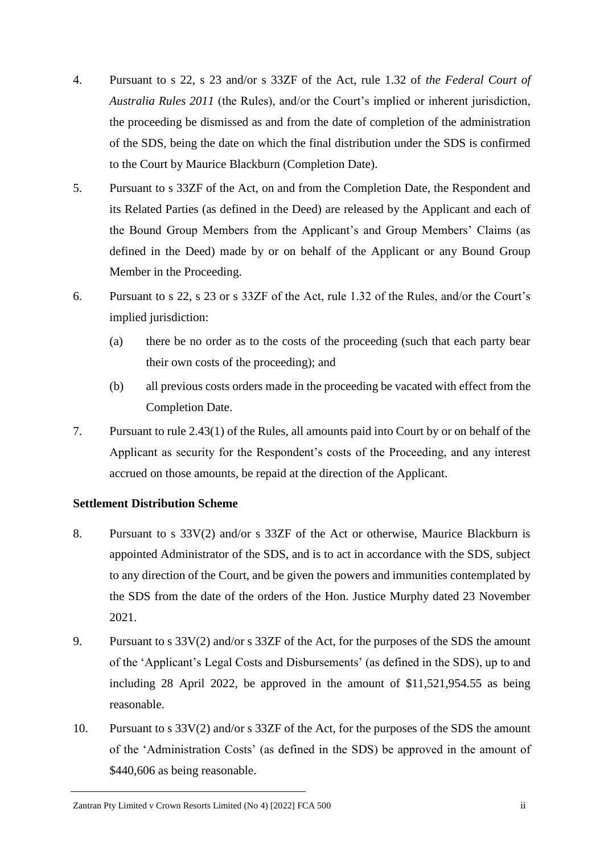- 4. Pursuant to s 22, s 23 and/or s 33ZF of the Act, rule 1.32 of *the Federal Court of Australia Rules 2011* (the Rules), and/or the Court's implied or inherent jurisdiction, the proceeding be dismissed as and from the date of completion of the administration of the SDS, being the date on which the final distribution under the SDS is confirmed to the Court by Maurice Blackburn (Completion Date).
- 5. Pursuant to s 33ZF of the Act, on and from the Completion Date, the Respondent and its Related Parties (as defined in the Deed) are released by the Applicant and each of the Bound Group Members from the Applicant's and Group Members' Claims (as defined in the Deed) made by or on behalf of the Applicant or any Bound Group Member in the Proceeding.
- 6. Pursuant to s 22, s 23 or s 33ZF of the Act, rule 1.32 of the Rules, and/or the Court's implied jurisdiction:
	- (a) there be no order as to the costs of the proceeding (such that each party bear their own costs of the proceeding); and
	- (b) all previous costs orders made in the proceeding be vacated with effect from the Completion Date.
- 7. Pursuant to rule 2.43(1) of the Rules, all amounts paid into Court by or on behalf of the Applicant as security for the Respondent's costs of the Proceeding, and any interest accrued on those amounts, be repaid at the direction of the Applicant.

## **Settlement Distribution Scheme**

- 8. Pursuant to s 33V(2) and/or s 33ZF of the Act or otherwise, Maurice Blackburn is appointed Administrator of the SDS, and is to act in accordance with the SDS, subject to any direction of the Court, and be given the powers and immunities contemplated by the SDS from the date of the orders of the Hon. Justice Murphy dated 23 November 2021.
- 9. Pursuant to s 33V(2) and/or s 33ZF of the Act, for the purposes of the SDS the amount of the 'Applicant's Legal Costs and Disbursements' (as defined in the SDS), up to and including 28 April 2022, be approved in the amount of \$11,521,954.55 as being reasonable.
- 10. Pursuant to s 33V(2) and/or s 33ZF of the Act, for the purposes of the SDS the amount of the 'Administration Costs' (as defined in the SDS) be approved in the amount of \$440,606 as being reasonable.

Zantran Pty Limited v Crown Resorts Limited (No 4) [2022] FCA 500 ii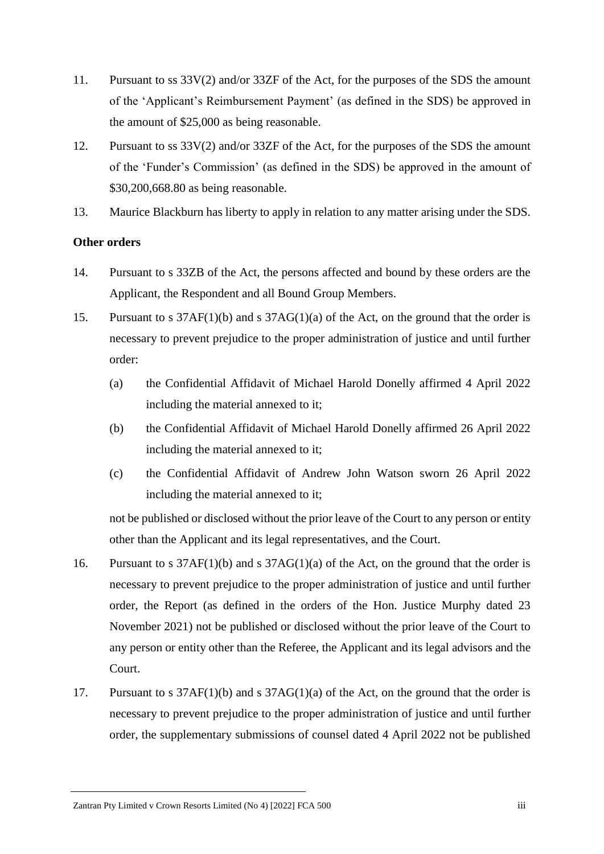- 11. Pursuant to ss 33V(2) and/or 33ZF of the Act, for the purposes of the SDS the amount of the 'Applicant's Reimbursement Payment' (as defined in the SDS) be approved in the amount of \$25,000 as being reasonable.
- 12. Pursuant to ss 33V(2) and/or 33ZF of the Act, for the purposes of the SDS the amount of the 'Funder's Commission' (as defined in the SDS) be approved in the amount of \$30,200,668.80 as being reasonable.
- 13. Maurice Blackburn has liberty to apply in relation to any matter arising under the SDS.

## **Other orders**

- 14. Pursuant to s 33ZB of the Act, the persons affected and bound by these orders are the Applicant, the Respondent and all Bound Group Members.
- 15. Pursuant to s 37AF(1)(b) and s 37AG(1)(a) of the Act, on the ground that the order is necessary to prevent prejudice to the proper administration of justice and until further order:
	- (a) the Confidential Affidavit of Michael Harold Donelly affirmed 4 April 2022 including the material annexed to it;
	- (b) the Confidential Affidavit of Michael Harold Donelly affirmed 26 April 2022 including the material annexed to it;
	- (c) the Confidential Affidavit of Andrew John Watson sworn 26 April 2022 including the material annexed to it;

not be published or disclosed without the prior leave of the Court to any person or entity other than the Applicant and its legal representatives, and the Court.

- 16. Pursuant to s 37AF(1)(b) and s 37AG(1)(a) of the Act, on the ground that the order is necessary to prevent prejudice to the proper administration of justice and until further order, the Report (as defined in the orders of the Hon. Justice Murphy dated 23 November 2021) not be published or disclosed without the prior leave of the Court to any person or entity other than the Referee, the Applicant and its legal advisors and the Court.
- 17. Pursuant to s 37AF(1)(b) and s 37AG(1)(a) of the Act, on the ground that the order is necessary to prevent prejudice to the proper administration of justice and until further order, the supplementary submissions of counsel dated 4 April 2022 not be published

Zantran Pty Limited v Crown Resorts Limited (No 4) [2022] FCA 500 iii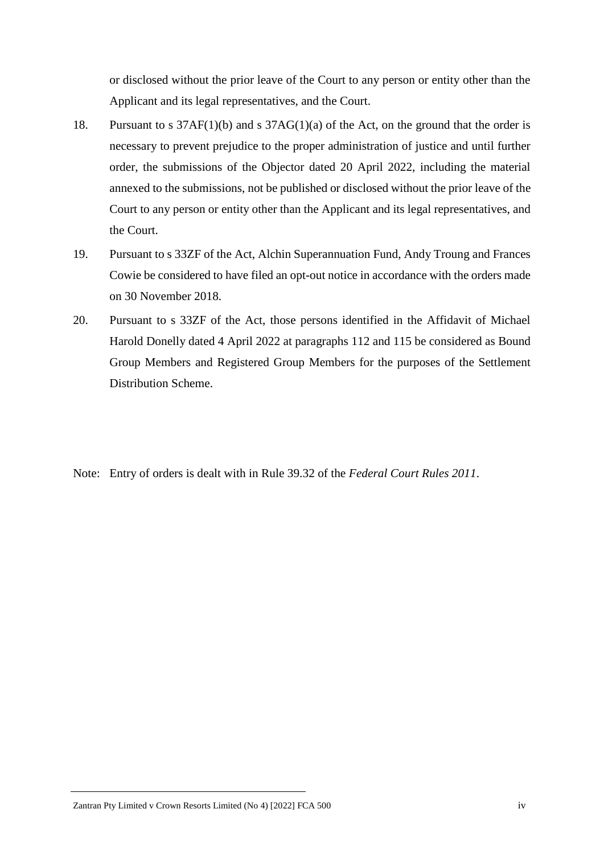or disclosed without the prior leave of the Court to any person or entity other than the Applicant and its legal representatives, and the Court.

- 18. Pursuant to s 37AF(1)(b) and s 37AG(1)(a) of the Act, on the ground that the order is necessary to prevent prejudice to the proper administration of justice and until further order, the submissions of the Objector dated 20 April 2022, including the material annexed to the submissions, not be published or disclosed without the prior leave of the Court to any person or entity other than the Applicant and its legal representatives, and the Court.
- 19. Pursuant to s 33ZF of the Act, Alchin Superannuation Fund, Andy Troung and Frances Cowie be considered to have filed an opt-out notice in accordance with the orders made on 30 November 2018.
- 20. Pursuant to s 33ZF of the Act, those persons identified in the Affidavit of Michael Harold Donelly dated 4 April 2022 at paragraphs 112 and 115 be considered as Bound Group Members and Registered Group Members for the purposes of the Settlement Distribution Scheme.

Note: Entry of orders is dealt with in Rule 39.32 of the *Federal Court Rules 2011*.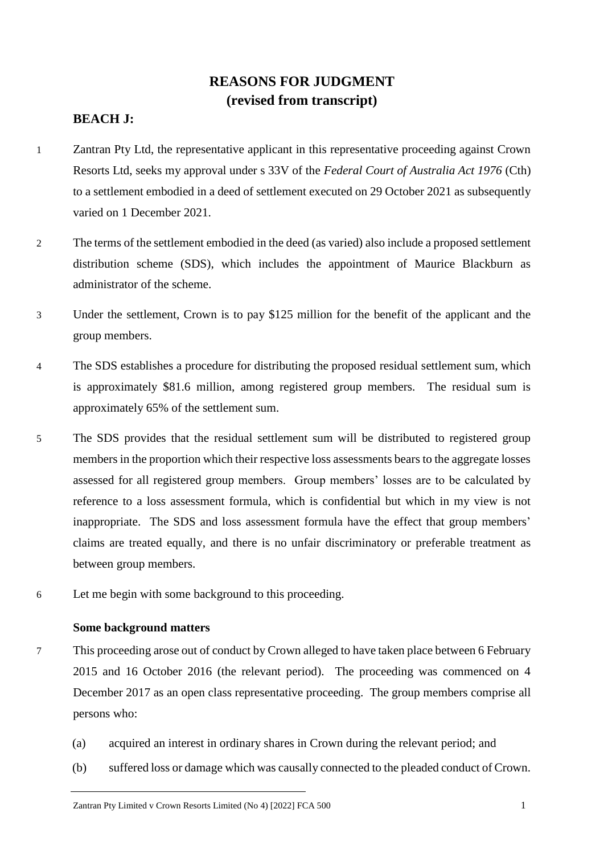## **REASONS FOR JUDGMENT (revised from transcript)**

## **BEACH J:**

- 1 Zantran Pty Ltd, the representative applicant in this representative proceeding against Crown Resorts Ltd, seeks my approval under s 33V of the *Federal Court of Australia Act 1976* (Cth) to a settlement embodied in a deed of settlement executed on 29 October 2021 as subsequently varied on 1 December 2021.
- 2 The terms of the settlement embodied in the deed (as varied) also include a proposed settlement distribution scheme (SDS), which includes the appointment of Maurice Blackburn as administrator of the scheme.
- 3 Under the settlement, Crown is to pay \$125 million for the benefit of the applicant and the group members.
- 4 The SDS establishes a procedure for distributing the proposed residual settlement sum, which is approximately \$81.6 million, among registered group members. The residual sum is approximately 65% of the settlement sum.
- 5 The SDS provides that the residual settlement sum will be distributed to registered group members in the proportion which their respective loss assessments bears to the aggregate losses assessed for all registered group members. Group members' losses are to be calculated by reference to a loss assessment formula, which is confidential but which in my view is not inappropriate. The SDS and loss assessment formula have the effect that group members' claims are treated equally, and there is no unfair discriminatory or preferable treatment as between group members.
- 6 Let me begin with some background to this proceeding.

### **Some background matters**

- 7 This proceeding arose out of conduct by Crown alleged to have taken place between 6 February 2015 and 16 October 2016 (the relevant period). The proceeding was commenced on 4 December 2017 as an open class representative proceeding. The group members comprise all persons who:
	- (a) acquired an interest in ordinary shares in Crown during the relevant period; and
	- (b) suffered loss or damage which was causally connected to the pleaded conduct of Crown.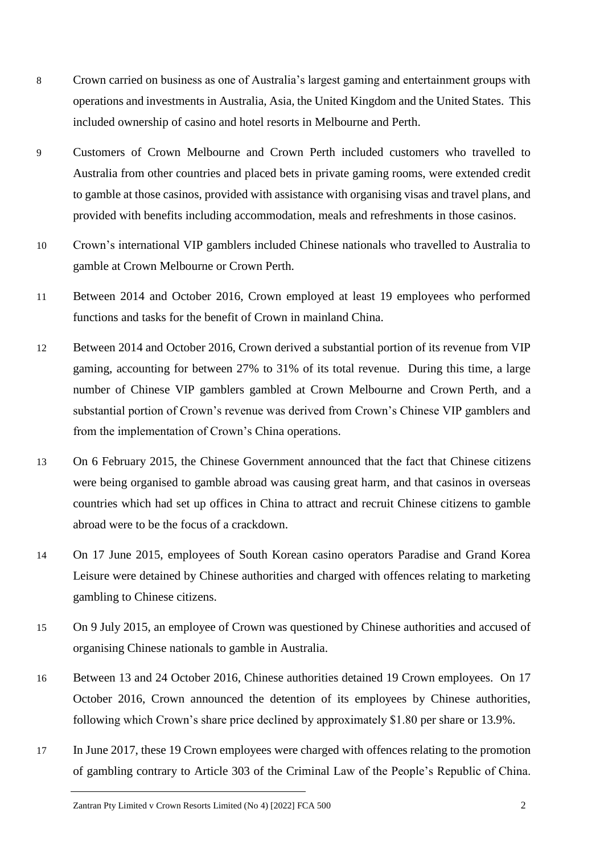- 8 Crown carried on business as one of Australia's largest gaming and entertainment groups with operations and investments in Australia, Asia, the United Kingdom and the United States. This included ownership of casino and hotel resorts in Melbourne and Perth.
- 9 Customers of Crown Melbourne and Crown Perth included customers who travelled to Australia from other countries and placed bets in private gaming rooms, were extended credit to gamble at those casinos, provided with assistance with organising visas and travel plans, and provided with benefits including accommodation, meals and refreshments in those casinos.
- 10 Crown's international VIP gamblers included Chinese nationals who travelled to Australia to gamble at Crown Melbourne or Crown Perth.
- 11 Between 2014 and October 2016, Crown employed at least 19 employees who performed functions and tasks for the benefit of Crown in mainland China.
- 12 Between 2014 and October 2016, Crown derived a substantial portion of its revenue from VIP gaming, accounting for between 27% to 31% of its total revenue. During this time, a large number of Chinese VIP gamblers gambled at Crown Melbourne and Crown Perth, and a substantial portion of Crown's revenue was derived from Crown's Chinese VIP gamblers and from the implementation of Crown's China operations.
- 13 On 6 February 2015, the Chinese Government announced that the fact that Chinese citizens were being organised to gamble abroad was causing great harm, and that casinos in overseas countries which had set up offices in China to attract and recruit Chinese citizens to gamble abroad were to be the focus of a crackdown.
- 14 On 17 June 2015, employees of South Korean casino operators Paradise and Grand Korea Leisure were detained by Chinese authorities and charged with offences relating to marketing gambling to Chinese citizens.
- 15 On 9 July 2015, an employee of Crown was questioned by Chinese authorities and accused of organising Chinese nationals to gamble in Australia.
- 16 Between 13 and 24 October 2016, Chinese authorities detained 19 Crown employees. On 17 October 2016, Crown announced the detention of its employees by Chinese authorities, following which Crown's share price declined by approximately \$1.80 per share or 13.9%.
- 17 In June 2017, these 19 Crown employees were charged with offences relating to the promotion of gambling contrary to Article 303 of the Criminal Law of the People's Republic of China.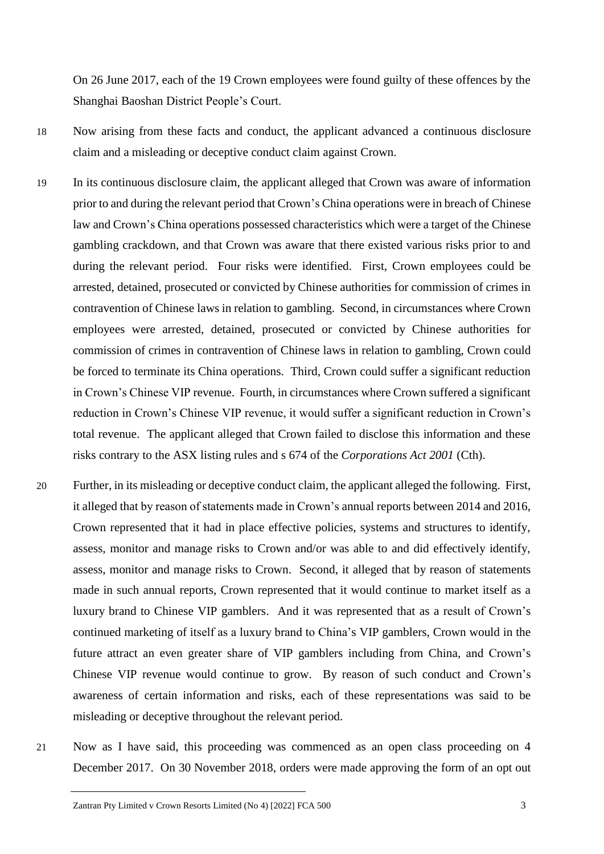On 26 June 2017, each of the 19 Crown employees were found guilty of these offences by the Shanghai Baoshan District People's Court.

- 18 Now arising from these facts and conduct, the applicant advanced a continuous disclosure claim and a misleading or deceptive conduct claim against Crown.
- 19 In its continuous disclosure claim, the applicant alleged that Crown was aware of information prior to and during the relevant period that Crown's China operations were in breach of Chinese law and Crown's China operations possessed characteristics which were a target of the Chinese gambling crackdown, and that Crown was aware that there existed various risks prior to and during the relevant period. Four risks were identified. First, Crown employees could be arrested, detained, prosecuted or convicted by Chinese authorities for commission of crimes in contravention of Chinese laws in relation to gambling. Second, in circumstances where Crown employees were arrested, detained, prosecuted or convicted by Chinese authorities for commission of crimes in contravention of Chinese laws in relation to gambling, Crown could be forced to terminate its China operations. Third, Crown could suffer a significant reduction in Crown's Chinese VIP revenue. Fourth, in circumstances where Crown suffered a significant reduction in Crown's Chinese VIP revenue, it would suffer a significant reduction in Crown's total revenue. The applicant alleged that Crown failed to disclose this information and these risks contrary to the ASX listing rules and s 674 of the *Corporations Act 2001* (Cth).
- 20 Further, in its misleading or deceptive conduct claim, the applicant alleged the following. First, it alleged that by reason of statements made in Crown's annual reports between 2014 and 2016, Crown represented that it had in place effective policies, systems and structures to identify, assess, monitor and manage risks to Crown and/or was able to and did effectively identify, assess, monitor and manage risks to Crown. Second, it alleged that by reason of statements made in such annual reports, Crown represented that it would continue to market itself as a luxury brand to Chinese VIP gamblers. And it was represented that as a result of Crown's continued marketing of itself as a luxury brand to China's VIP gamblers, Crown would in the future attract an even greater share of VIP gamblers including from China, and Crown's Chinese VIP revenue would continue to grow. By reason of such conduct and Crown's awareness of certain information and risks, each of these representations was said to be misleading or deceptive throughout the relevant period.
- 21 Now as I have said, this proceeding was commenced as an open class proceeding on 4 December 2017. On 30 November 2018, orders were made approving the form of an opt out

Zantran Pty Limited v Crown Resorts Limited (No 4) [2022] FCA 500 3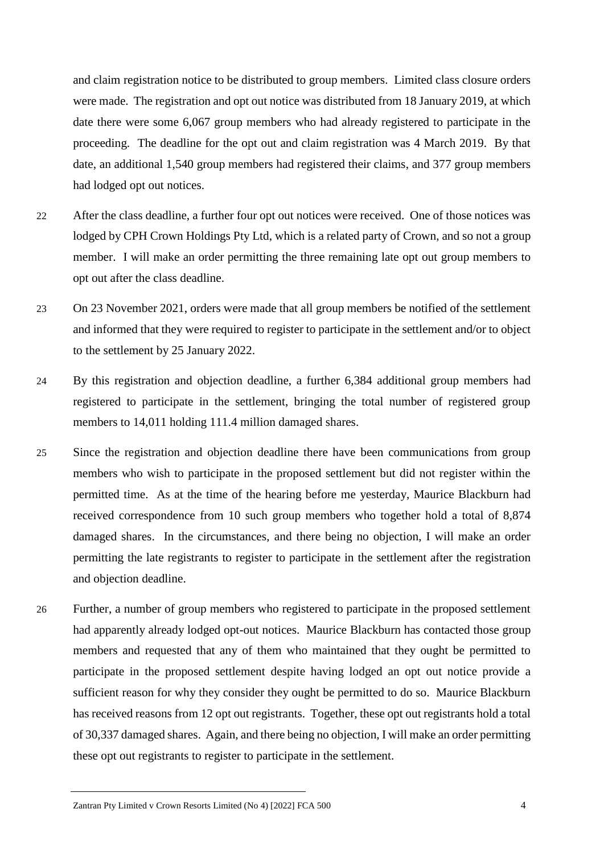and claim registration notice to be distributed to group members. Limited class closure orders were made. The registration and opt out notice was distributed from 18 January 2019, at which date there were some 6,067 group members who had already registered to participate in the proceeding. The deadline for the opt out and claim registration was 4 March 2019. By that date, an additional 1,540 group members had registered their claims, and 377 group members had lodged opt out notices.

- 22 After the class deadline, a further four opt out notices were received. One of those notices was lodged by CPH Crown Holdings Pty Ltd, which is a related party of Crown, and so not a group member. I will make an order permitting the three remaining late opt out group members to opt out after the class deadline.
- 23 On 23 November 2021, orders were made that all group members be notified of the settlement and informed that they were required to register to participate in the settlement and/or to object to the settlement by 25 January 2022.
- 24 By this registration and objection deadline, a further 6,384 additional group members had registered to participate in the settlement, bringing the total number of registered group members to 14,011 holding 111.4 million damaged shares.
- 25 Since the registration and objection deadline there have been communications from group members who wish to participate in the proposed settlement but did not register within the permitted time. As at the time of the hearing before me yesterday, Maurice Blackburn had received correspondence from 10 such group members who together hold a total of 8,874 damaged shares. In the circumstances, and there being no objection, I will make an order permitting the late registrants to register to participate in the settlement after the registration and objection deadline.
- 26 Further, a number of group members who registered to participate in the proposed settlement had apparently already lodged opt-out notices. Maurice Blackburn has contacted those group members and requested that any of them who maintained that they ought be permitted to participate in the proposed settlement despite having lodged an opt out notice provide a sufficient reason for why they consider they ought be permitted to do so. Maurice Blackburn has received reasons from 12 opt out registrants. Together, these opt out registrants hold a total of 30,337 damaged shares. Again, and there being no objection, I will make an order permitting these opt out registrants to register to participate in the settlement.

Zantran Pty Limited v Crown Resorts Limited (No 4) [2022] FCA 500 4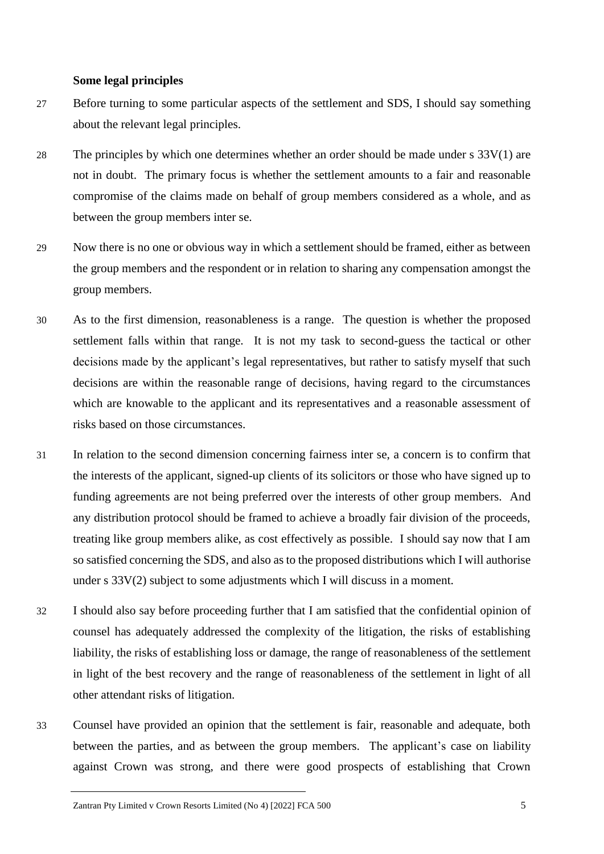#### **Some legal principles**

- 27 Before turning to some particular aspects of the settlement and SDS, I should say something about the relevant legal principles.
- 28 The principles by which one determines whether an order should be made under  $s$  33V(1) are not in doubt. The primary focus is whether the settlement amounts to a fair and reasonable compromise of the claims made on behalf of group members considered as a whole, and as between the group members inter se.
- 29 Now there is no one or obvious way in which a settlement should be framed, either as between the group members and the respondent or in relation to sharing any compensation amongst the group members.
- 30 As to the first dimension, reasonableness is a range. The question is whether the proposed settlement falls within that range. It is not my task to second-guess the tactical or other decisions made by the applicant's legal representatives, but rather to satisfy myself that such decisions are within the reasonable range of decisions, having regard to the circumstances which are knowable to the applicant and its representatives and a reasonable assessment of risks based on those circumstances.
- 31 In relation to the second dimension concerning fairness inter se, a concern is to confirm that the interests of the applicant, signed-up clients of its solicitors or those who have signed up to funding agreements are not being preferred over the interests of other group members. And any distribution protocol should be framed to achieve a broadly fair division of the proceeds, treating like group members alike, as cost effectively as possible. I should say now that I am so satisfied concerning the SDS, and also as to the proposed distributions which I will authorise under s 33V(2) subject to some adjustments which I will discuss in a moment.
- 32 I should also say before proceeding further that I am satisfied that the confidential opinion of counsel has adequately addressed the complexity of the litigation, the risks of establishing liability, the risks of establishing loss or damage, the range of reasonableness of the settlement in light of the best recovery and the range of reasonableness of the settlement in light of all other attendant risks of litigation.
- 33 Counsel have provided an opinion that the settlement is fair, reasonable and adequate, both between the parties, and as between the group members. The applicant's case on liability against Crown was strong, and there were good prospects of establishing that Crown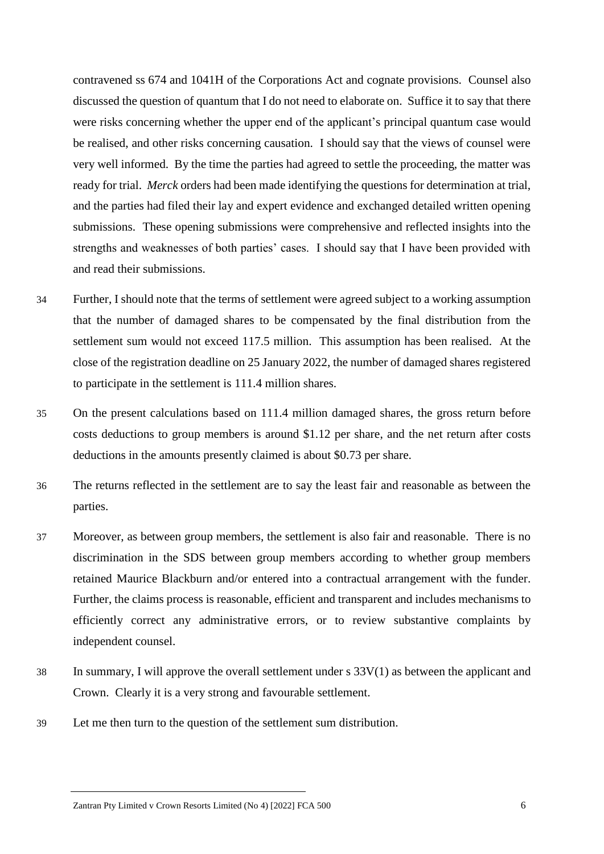contravened ss 674 and 1041H of the Corporations Act and cognate provisions. Counsel also discussed the question of quantum that I do not need to elaborate on. Suffice it to say that there were risks concerning whether the upper end of the applicant's principal quantum case would be realised, and other risks concerning causation. I should say that the views of counsel were very well informed. By the time the parties had agreed to settle the proceeding, the matter was ready for trial. *Merck* orders had been made identifying the questions for determination at trial, and the parties had filed their lay and expert evidence and exchanged detailed written opening submissions. These opening submissions were comprehensive and reflected insights into the strengths and weaknesses of both parties' cases. I should say that I have been provided with and read their submissions.

- 34 Further, I should note that the terms of settlement were agreed subject to a working assumption that the number of damaged shares to be compensated by the final distribution from the settlement sum would not exceed 117.5 million. This assumption has been realised. At the close of the registration deadline on 25 January 2022, the number of damaged shares registered to participate in the settlement is 111.4 million shares.
- 35 On the present calculations based on 111.4 million damaged shares, the gross return before costs deductions to group members is around \$1.12 per share, and the net return after costs deductions in the amounts presently claimed is about \$0.73 per share.
- 36 The returns reflected in the settlement are to say the least fair and reasonable as between the parties.
- 37 Moreover, as between group members, the settlement is also fair and reasonable. There is no discrimination in the SDS between group members according to whether group members retained Maurice Blackburn and/or entered into a contractual arrangement with the funder. Further, the claims process is reasonable, efficient and transparent and includes mechanisms to efficiently correct any administrative errors, or to review substantive complaints by independent counsel.
- 38 In summary, I will approve the overall settlement under  $s$  33 $V(1)$  as between the applicant and Crown. Clearly it is a very strong and favourable settlement.
- 39 Let me then turn to the question of the settlement sum distribution.

Zantran Pty Limited v Crown Resorts Limited (No 4) [2022] FCA 500 6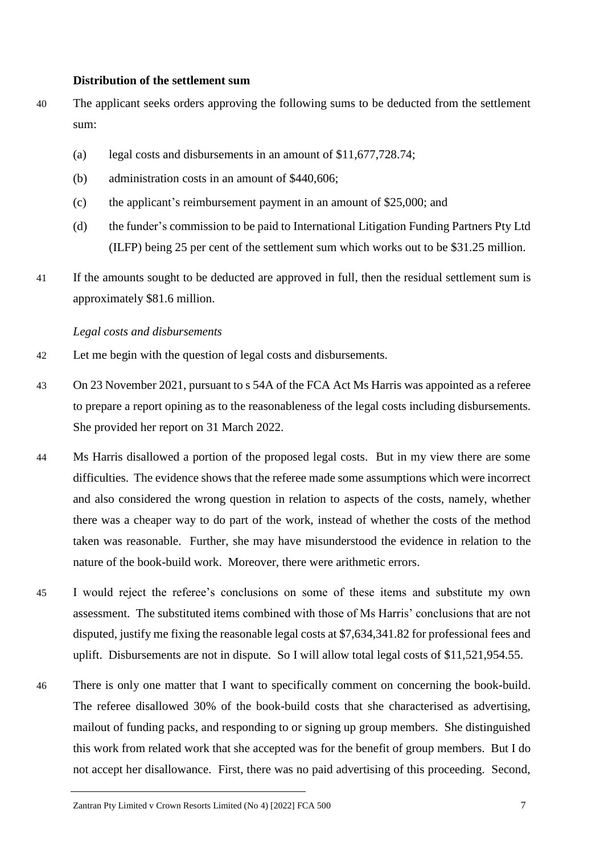#### **Distribution of the settlement sum**

- 40 The applicant seeks orders approving the following sums to be deducted from the settlement sum:
	- (a) legal costs and disbursements in an amount of \$11,677,728.74;
	- (b) administration costs in an amount of \$440,606;
	- (c) the applicant's reimbursement payment in an amount of \$25,000; and
	- (d) the funder's commission to be paid to International Litigation Funding Partners Pty Ltd (ILFP) being 25 per cent of the settlement sum which works out to be \$31.25 million.
- 41 If the amounts sought to be deducted are approved in full, then the residual settlement sum is approximately \$81.6 million.

#### *Legal costs and disbursements*

- 42 Let me begin with the question of legal costs and disbursements.
- 43 On 23 November 2021, pursuant to s 54A of the FCA Act Ms Harris was appointed as a referee to prepare a report opining as to the reasonableness of the legal costs including disbursements. She provided her report on 31 March 2022.
- 44 Ms Harris disallowed a portion of the proposed legal costs. But in my view there are some difficulties. The evidence shows that the referee made some assumptions which were incorrect and also considered the wrong question in relation to aspects of the costs, namely, whether there was a cheaper way to do part of the work, instead of whether the costs of the method taken was reasonable. Further, she may have misunderstood the evidence in relation to the nature of the book-build work. Moreover, there were arithmetic errors.
- 45 I would reject the referee's conclusions on some of these items and substitute my own assessment. The substituted items combined with those of Ms Harris' conclusions that are not disputed, justify me fixing the reasonable legal costs at \$7,634,341.82 for professional fees and uplift. Disbursements are not in dispute. So I will allow total legal costs of \$11,521,954.55.
- 46 There is only one matter that I want to specifically comment on concerning the book-build. The referee disallowed 30% of the book-build costs that she characterised as advertising, mailout of funding packs, and responding to or signing up group members. She distinguished this work from related work that she accepted was for the benefit of group members. But I do not accept her disallowance. First, there was no paid advertising of this proceeding. Second,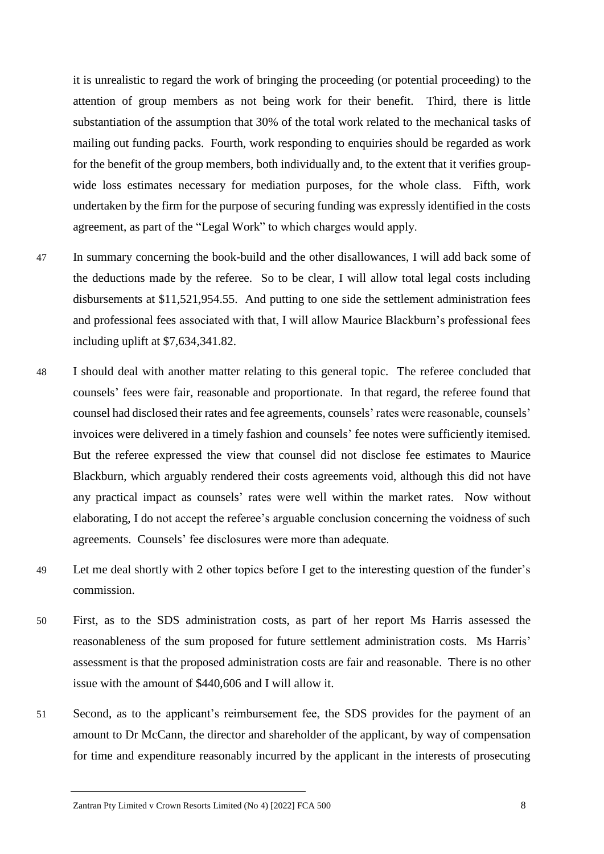it is unrealistic to regard the work of bringing the proceeding (or potential proceeding) to the attention of group members as not being work for their benefit. Third, there is little substantiation of the assumption that 30% of the total work related to the mechanical tasks of mailing out funding packs. Fourth, work responding to enquiries should be regarded as work for the benefit of the group members, both individually and, to the extent that it verifies groupwide loss estimates necessary for mediation purposes, for the whole class. Fifth, work undertaken by the firm for the purpose of securing funding was expressly identified in the costs agreement, as part of the "Legal Work" to which charges would apply.

- 47 In summary concerning the book-build and the other disallowances, I will add back some of the deductions made by the referee. So to be clear, I will allow total legal costs including disbursements at \$11,521,954.55. And putting to one side the settlement administration fees and professional fees associated with that, I will allow Maurice Blackburn's professional fees including uplift at \$7,634,341.82.
- 48 I should deal with another matter relating to this general topic. The referee concluded that counsels' fees were fair, reasonable and proportionate. In that regard, the referee found that counsel had disclosed their rates and fee agreements, counsels' rates were reasonable, counsels' invoices were delivered in a timely fashion and counsels' fee notes were sufficiently itemised. But the referee expressed the view that counsel did not disclose fee estimates to Maurice Blackburn, which arguably rendered their costs agreements void, although this did not have any practical impact as counsels' rates were well within the market rates. Now without elaborating, I do not accept the referee's arguable conclusion concerning the voidness of such agreements. Counsels' fee disclosures were more than adequate.
- 49 Let me deal shortly with 2 other topics before I get to the interesting question of the funder's commission.
- 50 First, as to the SDS administration costs, as part of her report Ms Harris assessed the reasonableness of the sum proposed for future settlement administration costs. Ms Harris' assessment is that the proposed administration costs are fair and reasonable. There is no other issue with the amount of \$440,606 and I will allow it.
- 51 Second, as to the applicant's reimbursement fee, the SDS provides for the payment of an amount to Dr McCann, the director and shareholder of the applicant, by way of compensation for time and expenditure reasonably incurred by the applicant in the interests of prosecuting

Zantran Pty Limited v Crown Resorts Limited (No 4) [2022] FCA 500 8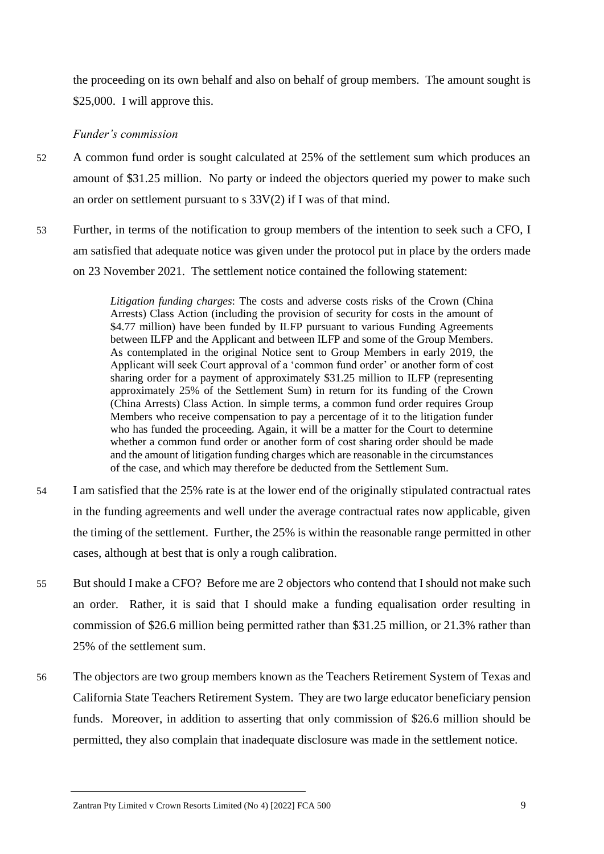the proceeding on its own behalf and also on behalf of group members. The amount sought is \$25,000. I will approve this.

## *Funder's commission*

- 52 A common fund order is sought calculated at 25% of the settlement sum which produces an amount of \$31.25 million. No party or indeed the objectors queried my power to make such an order on settlement pursuant to s 33V(2) if I was of that mind.
- 53 Further, in terms of the notification to group members of the intention to seek such a CFO, I am satisfied that adequate notice was given under the protocol put in place by the orders made on 23 November 2021. The settlement notice contained the following statement:

*Litigation funding charges*: The costs and adverse costs risks of the Crown (China Arrests) Class Action (including the provision of security for costs in the amount of \$4.77 million) have been funded by ILFP pursuant to various Funding Agreements between ILFP and the Applicant and between ILFP and some of the Group Members. As contemplated in the original Notice sent to Group Members in early 2019, the Applicant will seek Court approval of a 'common fund order' or another form of cost sharing order for a payment of approximately \$31.25 million to ILFP (representing approximately 25% of the Settlement Sum) in return for its funding of the Crown (China Arrests) Class Action. In simple terms, a common fund order requires Group Members who receive compensation to pay a percentage of it to the litigation funder who has funded the proceeding. Again, it will be a matter for the Court to determine whether a common fund order or another form of cost sharing order should be made and the amount of litigation funding charges which are reasonable in the circumstances of the case, and which may therefore be deducted from the Settlement Sum.

- 54 I am satisfied that the 25% rate is at the lower end of the originally stipulated contractual rates in the funding agreements and well under the average contractual rates now applicable, given the timing of the settlement. Further, the 25% is within the reasonable range permitted in other cases, although at best that is only a rough calibration.
- 55 But should I make a CFO? Before me are 2 objectors who contend that I should not make such an order. Rather, it is said that I should make a funding equalisation order resulting in commission of \$26.6 million being permitted rather than \$31.25 million, or 21.3% rather than 25% of the settlement sum.
- 56 The objectors are two group members known as the Teachers Retirement System of Texas and California State Teachers Retirement System. They are two large educator beneficiary pension funds. Moreover, in addition to asserting that only commission of \$26.6 million should be permitted, they also complain that inadequate disclosure was made in the settlement notice.

Zantran Pty Limited v Crown Resorts Limited (No 4) [2022] FCA 500 9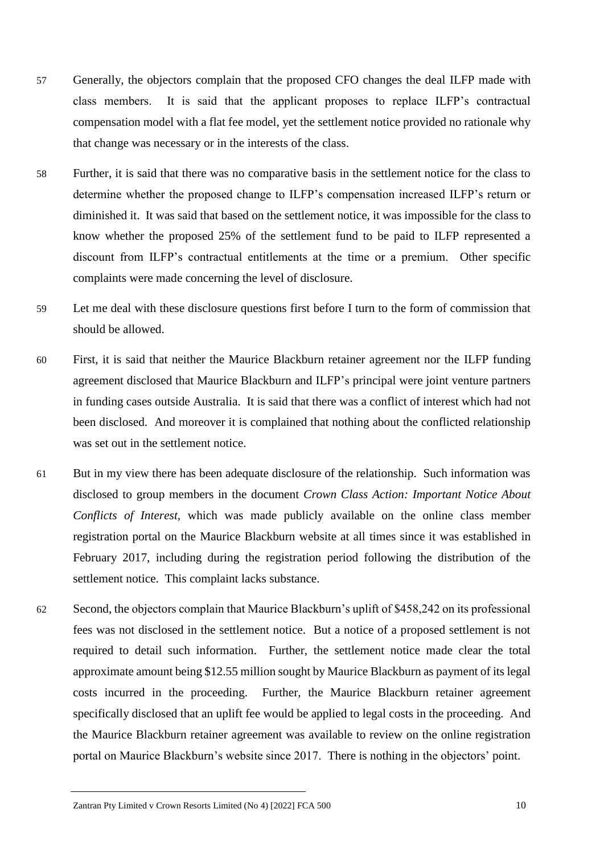- 57 Generally, the objectors complain that the proposed CFO changes the deal ILFP made with class members. It is said that the applicant proposes to replace ILFP's contractual compensation model with a flat fee model, yet the settlement notice provided no rationale why that change was necessary or in the interests of the class.
- 58 Further, it is said that there was no comparative basis in the settlement notice for the class to determine whether the proposed change to ILFP's compensation increased ILFP's return or diminished it. It was said that based on the settlement notice, it was impossible for the class to know whether the proposed 25% of the settlement fund to be paid to ILFP represented a discount from ILFP's contractual entitlements at the time or a premium. Other specific complaints were made concerning the level of disclosure.
- 59 Let me deal with these disclosure questions first before I turn to the form of commission that should be allowed.
- 60 First, it is said that neither the Maurice Blackburn retainer agreement nor the ILFP funding agreement disclosed that Maurice Blackburn and ILFP's principal were joint venture partners in funding cases outside Australia. It is said that there was a conflict of interest which had not been disclosed. And moreover it is complained that nothing about the conflicted relationship was set out in the settlement notice.
- 61 But in my view there has been adequate disclosure of the relationship. Such information was disclosed to group members in the document *Crown Class Action: Important Notice About Conflicts of Interest,* which was made publicly available on the online class member registration portal on the Maurice Blackburn website at all times since it was established in February 2017, including during the registration period following the distribution of the settlement notice. This complaint lacks substance.
- 62 Second, the objectors complain that Maurice Blackburn's uplift of \$458,242 on its professional fees was not disclosed in the settlement notice. But a notice of a proposed settlement is not required to detail such information. Further, the settlement notice made clear the total approximate amount being \$12.55 million sought by Maurice Blackburn as payment of its legal costs incurred in the proceeding. Further, the Maurice Blackburn retainer agreement specifically disclosed that an uplift fee would be applied to legal costs in the proceeding. And the Maurice Blackburn retainer agreement was available to review on the online registration portal on Maurice Blackburn's website since 2017. There is nothing in the objectors' point.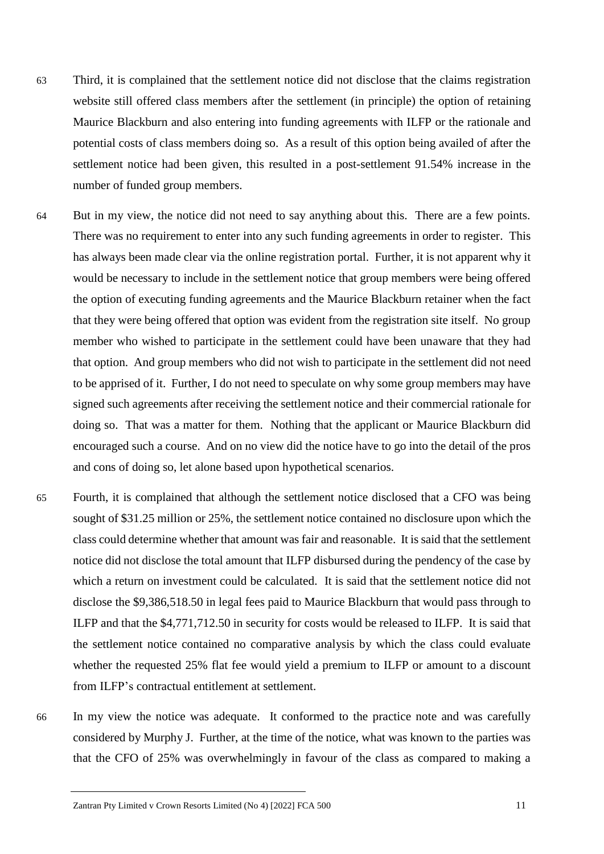- 63 Third, it is complained that the settlement notice did not disclose that the claims registration website still offered class members after the settlement (in principle) the option of retaining Maurice Blackburn and also entering into funding agreements with ILFP or the rationale and potential costs of class members doing so. As a result of this option being availed of after the settlement notice had been given, this resulted in a post-settlement 91.54% increase in the number of funded group members.
- 64 But in my view, the notice did not need to say anything about this. There are a few points. There was no requirement to enter into any such funding agreements in order to register. This has always been made clear via the online registration portal. Further, it is not apparent why it would be necessary to include in the settlement notice that group members were being offered the option of executing funding agreements and the Maurice Blackburn retainer when the fact that they were being offered that option was evident from the registration site itself. No group member who wished to participate in the settlement could have been unaware that they had that option. And group members who did not wish to participate in the settlement did not need to be apprised of it. Further, I do not need to speculate on why some group members may have signed such agreements after receiving the settlement notice and their commercial rationale for doing so. That was a matter for them. Nothing that the applicant or Maurice Blackburn did encouraged such a course. And on no view did the notice have to go into the detail of the pros and cons of doing so, let alone based upon hypothetical scenarios.
- 65 Fourth, it is complained that although the settlement notice disclosed that a CFO was being sought of \$31.25 million or 25%, the settlement notice contained no disclosure upon which the class could determine whether that amount was fair and reasonable. It is said that the settlement notice did not disclose the total amount that ILFP disbursed during the pendency of the case by which a return on investment could be calculated. It is said that the settlement notice did not disclose the \$9,386,518.50 in legal fees paid to Maurice Blackburn that would pass through to ILFP and that the \$4,771,712.50 in security for costs would be released to ILFP. It is said that the settlement notice contained no comparative analysis by which the class could evaluate whether the requested 25% flat fee would yield a premium to ILFP or amount to a discount from ILFP's contractual entitlement at settlement.
- 66 In my view the notice was adequate. It conformed to the practice note and was carefully considered by Murphy J. Further, at the time of the notice, what was known to the parties was that the CFO of 25% was overwhelmingly in favour of the class as compared to making a

Zantran Pty Limited v Crown Resorts Limited (No 4) [2022] FCA 500 11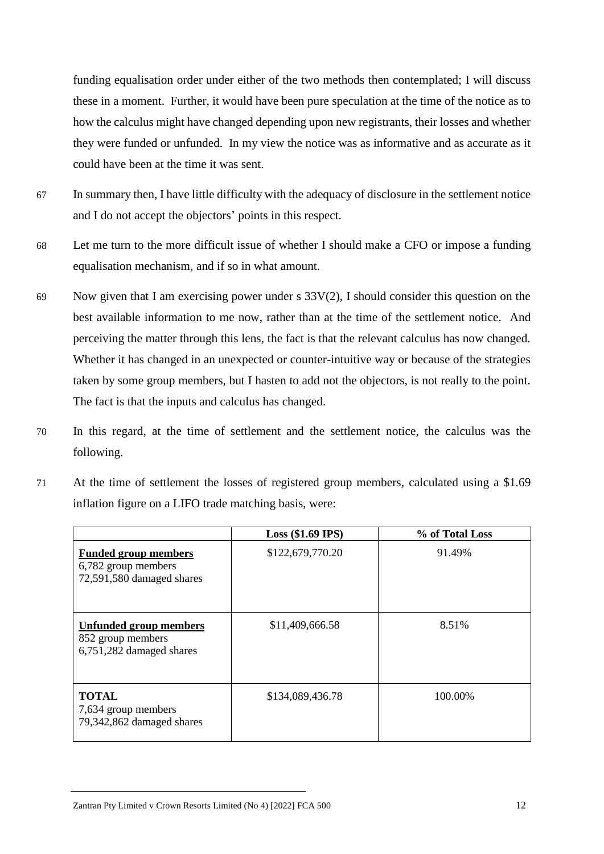funding equalisation order under either of the two methods then contemplated; I will discuss these in a moment. Further, it would have been pure speculation at the time of the notice as to how the calculus might have changed depending upon new registrants, their losses and whether they were funded or unfunded. In my view the notice was as informative and as accurate as it could have been at the time it was sent.

- 67 In summary then, I have little difficulty with the adequacy of disclosure in the settlement notice and I do not accept the objectors' points in this respect.
- 68 Let me turn to the more difficult issue of whether I should make a CFO or impose a funding equalisation mechanism, and if so in what amount.
- 69 Now given that I am exercising power under s 33V(2), I should consider this question on the best available information to me now, rather than at the time of the settlement notice. And perceiving the matter through this lens, the fact is that the relevant calculus has now changed. Whether it has changed in an unexpected or counter-intuitive way or because of the strategies taken by some group members, but I hasten to add not the objectors, is not really to the point. The fact is that the inputs and calculus has changed.
- 70 In this regard, at the time of settlement and the settlement notice, the calculus was the following.
- 71 At the time of settlement the losses of registered group members, calculated using a \$1.69 inflation figure on a LIFO trade matching basis, were:

|                                                                                 | $Loss$ (\$1.69 IPS) | % of Total Loss |
|---------------------------------------------------------------------------------|---------------------|-----------------|
| <b>Funded group members</b><br>6,782 group members<br>72,591,580 damaged shares | \$122,679,770.20    | 91.49%          |
| <b>Unfunded group members</b><br>852 group members<br>6,751,282 damaged shares  | \$11,409,666.58     | 8.51%           |
| <b>TOTAL</b><br>7,634 group members<br>79,342,862 damaged shares                | \$134,089,436.78    | 100.00%         |

Zantran Pty Limited v Crown Resorts Limited (No 4) [2022] FCA 500 12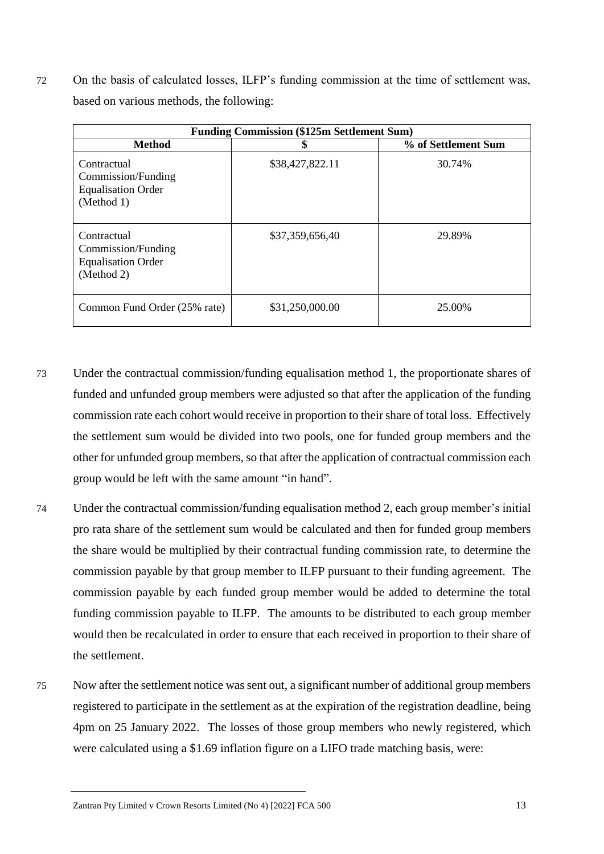72 On the basis of calculated losses, ILFP's funding commission at the time of settlement was, based on various methods, the following:

| <b>Funding Commission (\$125m Settlement Sum)</b>                            |                 |                     |
|------------------------------------------------------------------------------|-----------------|---------------------|
| <b>Method</b>                                                                | J               | % of Settlement Sum |
| Contractual<br>Commission/Funding<br><b>Equalisation Order</b><br>(Method 1) | \$38,427,822.11 | 30.74%              |
| Contractual<br>Commission/Funding<br><b>Equalisation Order</b><br>(Method 2) | \$37,359,656,40 | 29.89%              |
| Common Fund Order (25% rate)                                                 | \$31,250,000.00 | 25.00%              |

- 73 Under the contractual commission/funding equalisation method 1, the proportionate shares of funded and unfunded group members were adjusted so that after the application of the funding commission rate each cohort would receive in proportion to their share of total loss. Effectively the settlement sum would be divided into two pools, one for funded group members and the other for unfunded group members, so that after the application of contractual commission each group would be left with the same amount "in hand".
- 74 Under the contractual commission/funding equalisation method 2, each group member's initial pro rata share of the settlement sum would be calculated and then for funded group members the share would be multiplied by their contractual funding commission rate, to determine the commission payable by that group member to ILFP pursuant to their funding agreement. The commission payable by each funded group member would be added to determine the total funding commission payable to ILFP. The amounts to be distributed to each group member would then be recalculated in order to ensure that each received in proportion to their share of the settlement.
- 75 Now after the settlement notice was sent out, a significant number of additional group members registered to participate in the settlement as at the expiration of the registration deadline, being 4pm on 25 January 2022. The losses of those group members who newly registered, which were calculated using a \$1.69 inflation figure on a LIFO trade matching basis, were:

Zantran Pty Limited v Crown Resorts Limited (No 4) [2022] FCA 500 13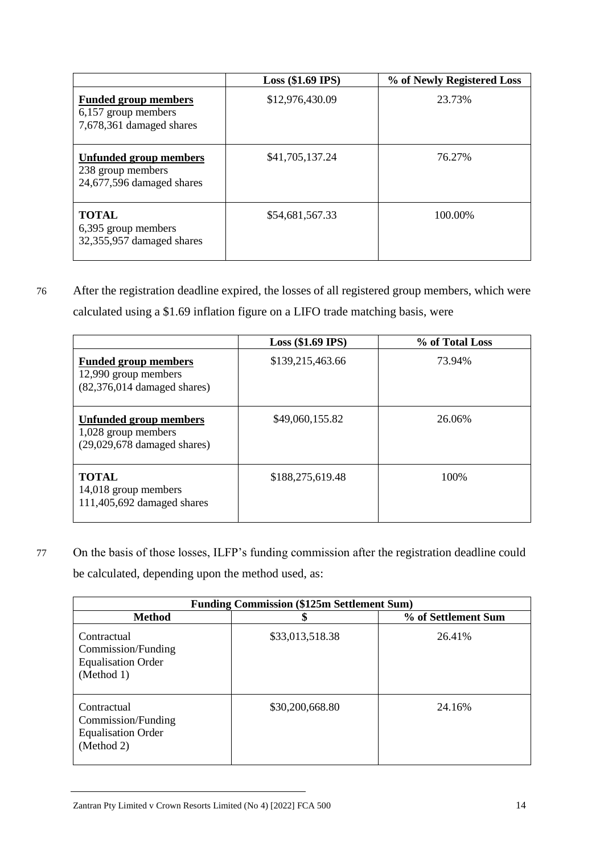|                                                                                 | $Loss$ (\$1.69 IPS) | % of Newly Registered Loss |
|---------------------------------------------------------------------------------|---------------------|----------------------------|
| <b>Funded group members</b><br>6,157 group members<br>7,678,361 damaged shares  | \$12,976,430.09     | 23.73%                     |
| <b>Unfunded group members</b><br>238 group members<br>24,677,596 damaged shares | \$41,705,137.24     | 76.27%                     |
| <b>TOTAL</b><br>6,395 group members<br>32,355,957 damaged shares                | \$54,681,567.33     | 100.00%                    |

76 After the registration deadline expired, the losses of all registered group members, which were calculated using a \$1.69 inflation figure on a LIFO trade matching basis, were

|                                                                                      | $Loss$ (\$1.69 IPS) | % of Total Loss |
|--------------------------------------------------------------------------------------|---------------------|-----------------|
| <b>Funded group members</b><br>12,990 group members<br>$(82,376,014$ damaged shares) | \$139,215,463.66    | 73.94%          |
| Unfunded group members<br>1,028 group members<br>$(29,029,678$ damaged shares)       | \$49,060,155.82     | 26.06%          |
| <b>TOTAL</b><br>14,018 group members<br>111,405,692 damaged shares                   | \$188,275,619.48    | 100%            |

77 On the basis of those losses, ILFP's funding commission after the registration deadline could be calculated, depending upon the method used, as:

| <b>Funding Commission (\$125m Settlement Sum)</b>                            |                 |                     |
|------------------------------------------------------------------------------|-----------------|---------------------|
| <b>Method</b>                                                                | \$              | % of Settlement Sum |
| Contractual<br>Commission/Funding<br><b>Equalisation Order</b><br>(Method 1) | \$33,013,518.38 | 26.41%              |
| Contractual<br>Commission/Funding<br><b>Equalisation Order</b><br>(Method 2) | \$30,200,668.80 | 24.16%              |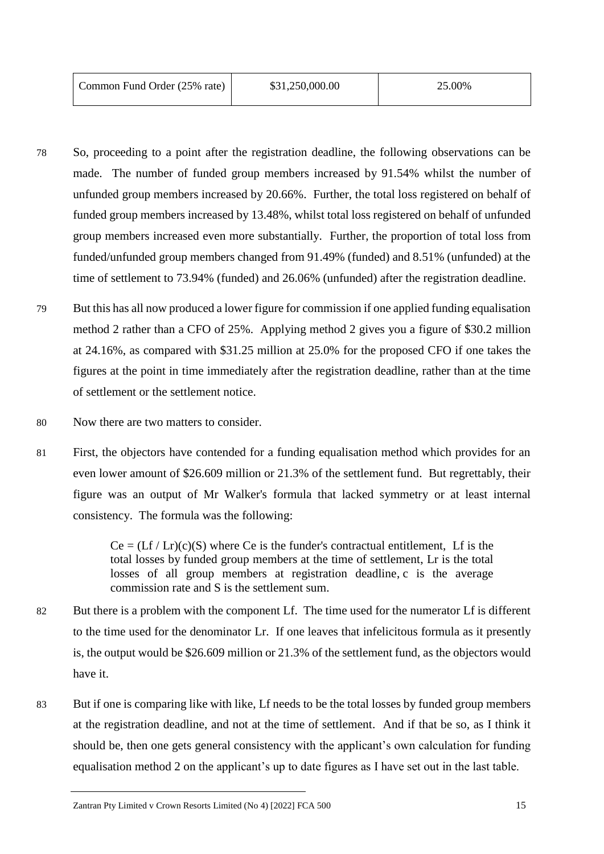| Common Fund Order (25% rate) | \$31,250,000.00 | 25.00% |
|------------------------------|-----------------|--------|
|                              |                 |        |

- 78 So, proceeding to a point after the registration deadline, the following observations can be made. The number of funded group members increased by 91.54% whilst the number of unfunded group members increased by 20.66%. Further, the total loss registered on behalf of funded group members increased by 13.48%, whilst total loss registered on behalf of unfunded group members increased even more substantially. Further, the proportion of total loss from funded/unfunded group members changed from 91.49% (funded) and 8.51% (unfunded) at the time of settlement to 73.94% (funded) and 26.06% (unfunded) after the registration deadline.
- 79 But this has all now produced a lower figure for commission if one applied funding equalisation method 2 rather than a CFO of 25%. Applying method 2 gives you a figure of \$30.2 million at 24.16%, as compared with \$31.25 million at 25.0% for the proposed CFO if one takes the figures at the point in time immediately after the registration deadline, rather than at the time of settlement or the settlement notice.
- 80 Now there are two matters to consider.
- 81 First, the objectors have contended for a funding equalisation method which provides for an even lower amount of \$26.609 million or 21.3% of the settlement fund. But regrettably, their figure was an output of Mr Walker's formula that lacked symmetry or at least internal consistency. The formula was the following:

 $Ce = (Lf / Lr)(c)(S)$  where Ce is the funder's contractual entitlement, Lf is the total losses by funded group members at the time of settlement, Lr is the total losses of all group members at registration deadline, c is the average commission rate and S is the settlement sum.

- 82 But there is a problem with the component Lf. The time used for the numerator Lf is different to the time used for the denominator Lr. If one leaves that infelicitous formula as it presently is, the output would be \$26.609 million or 21.3% of the settlement fund, as the objectors would have it.
- 83 But if one is comparing like with like, Lf needs to be the total losses by funded group members at the registration deadline, and not at the time of settlement. And if that be so, as I think it should be, then one gets general consistency with the applicant's own calculation for funding equalisation method 2 on the applicant's up to date figures as I have set out in the last table.